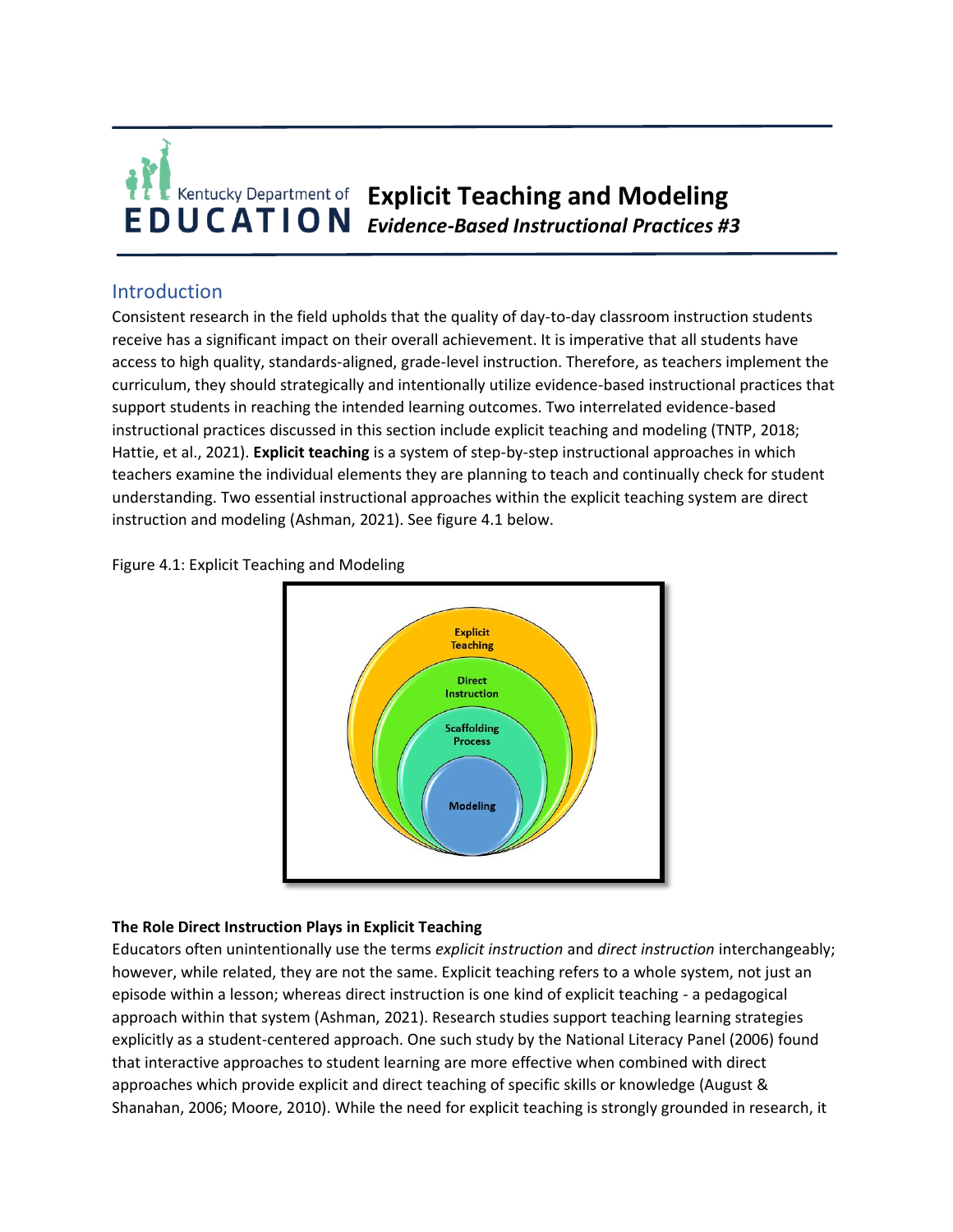

# Introduction

Consistent research in the field upholds that the quality of day-to-day classroom instruction students receive has a significant impact on their overall achievement. It is imperative that all students have access to high quality, standards-aligned, grade-level instruction. Therefore, as teachers implement the curriculum, they should strategically and intentionally utilize evidence-based instructional practices that support students in reaching the intended learning outcomes. Two interrelated evidence-based instructional practices discussed in this section include explicit teaching and modeling (TNTP, 2018; Hattie, et al., 2021). **Explicit teaching** is a system of step-by-step instructional approaches in which teachers examine the individual elements they are planning to teach and continually check for student understanding. Two essential instructional approaches within the explicit teaching system are direct instruction and modeling (Ashman, 2021). See figure 4.1 below.



Figure 4.1: Explicit Teaching and Modeling

### **The Role Direct Instruction Plays in Explicit Teaching**

Educators often unintentionally use the terms *explicit instruction* and *direct instruction* interchangeably; however, while related, they are not the same. Explicit teaching refers to a whole system, not just an episode within a lesson; whereas direct instruction is one kind of explicit teaching - a pedagogical approach within that system (Ashman, 2021). Research studies support teaching learning strategies explicitly as a student-centered approach. One such study by the National Literacy Panel (2006) found that interactive approaches to student learning are more effective when combined with direct approaches which provide explicit and direct teaching of specific skills or knowledge (August & Shanahan, 2006; Moore, 2010). While the need for explicit teaching is strongly grounded in research, it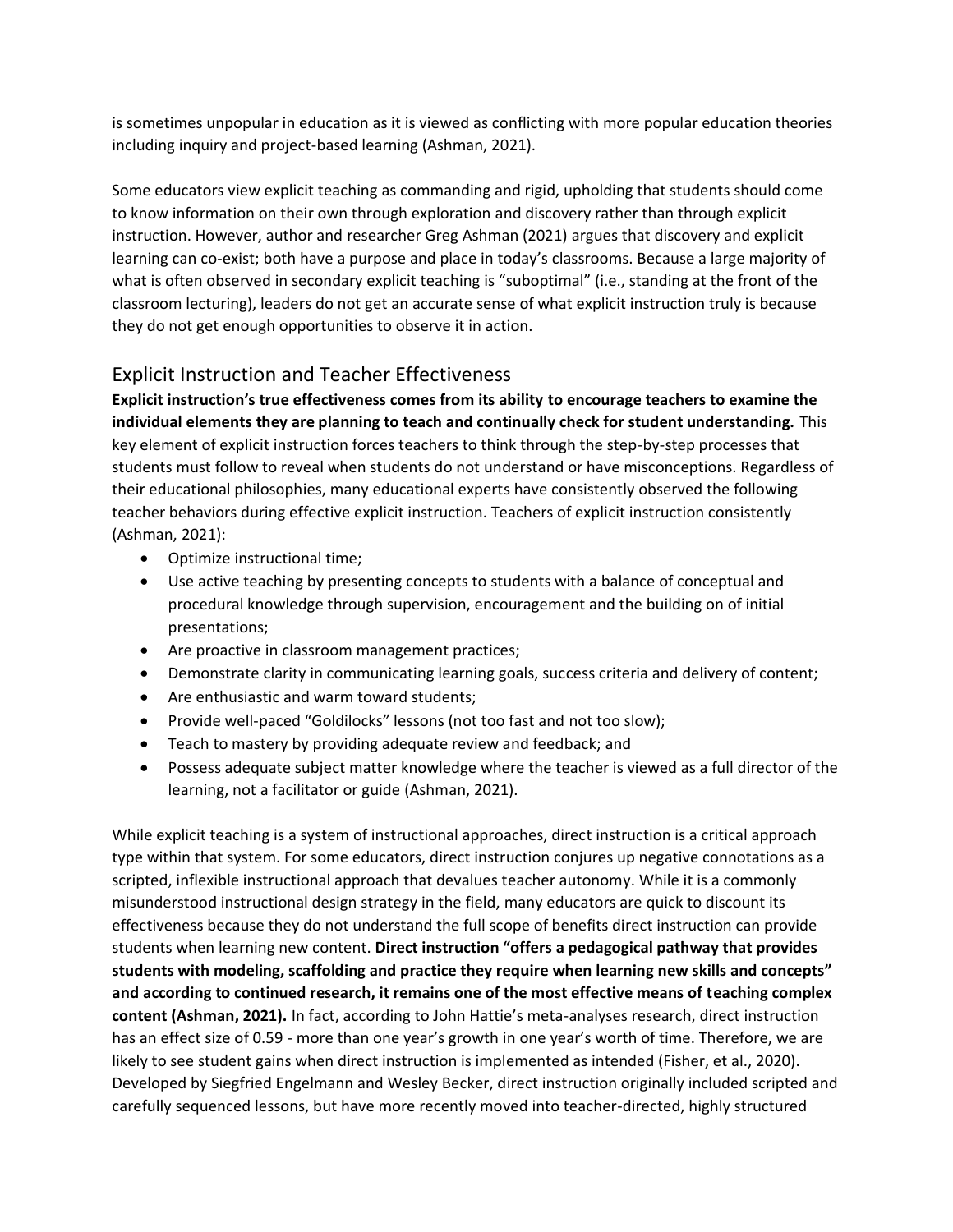is sometimes unpopular in education as it is viewed as conflicting with more popular education theories including inquiry and project-based learning (Ashman, 2021).

Some educators view explicit teaching as commanding and rigid, upholding that students should come to know information on their own through exploration and discovery rather than through explicit instruction. However, author and researcher Greg Ashman (2021) argues that discovery and explicit learning can co-exist; both have a purpose and place in today's classrooms. Because a large majority of what is often observed in secondary explicit teaching is "suboptimal" (i.e., standing at the front of the classroom lecturing), leaders do not get an accurate sense of what explicit instruction truly is because they do not get enough opportunities to observe it in action.

# Explicit Instruction and Teacher Effectiveness

**Explicit instruction's true effectiveness comes from its ability to encourage teachers to examine the individual elements they are planning to teach and continually check for student understanding.** This key element of explicit instruction forces teachers to think through the step-by-step processes that students must follow to reveal when students do not understand or have misconceptions. Regardless of their educational philosophies, many educational experts have consistently observed the following teacher behaviors during effective explicit instruction. Teachers of explicit instruction consistently (Ashman, 2021):

- Optimize instructional time;
- Use active teaching by presenting concepts to students with a balance of conceptual and procedural knowledge through supervision, encouragement and the building on of initial presentations;
- Are proactive in classroom management practices;
- Demonstrate clarity in communicating learning goals, success criteria and delivery of content;
- Are enthusiastic and warm toward students;
- Provide well-paced "Goldilocks" lessons (not too fast and not too slow);
- Teach to mastery by providing adequate review and feedback; and
- Possess adequate subject matter knowledge where the teacher is viewed as a full director of the learning, not a facilitator or guide (Ashman, 2021).

While explicit teaching is a system of instructional approaches, direct instruction is a critical approach type within that system. For some educators, direct instruction conjures up negative connotations as a scripted, inflexible instructional approach that devalues teacher autonomy. While it is a commonly misunderstood instructional design strategy in the field, many educators are quick to discount its effectiveness because they do not understand the full scope of benefits direct instruction can provide students when learning new content. **Direct instruction "offers a pedagogical pathway that provides students with modeling, scaffolding and practice they require when learning new skills and concepts" and according to continued research, it remains one of the most effective means of teaching complex content (Ashman, 2021).** In fact, according to John Hattie's meta-analyses research, direct instruction has an effect size of 0.59 - more than one year's growth in one year's worth of time. Therefore, we are likely to see student gains when direct instruction is implemented as intended (Fisher, et al., 2020). Developed by Siegfried Engelmann and Wesley Becker, direct instruction originally included scripted and carefully sequenced lessons, but have more recently moved into teacher-directed, highly structured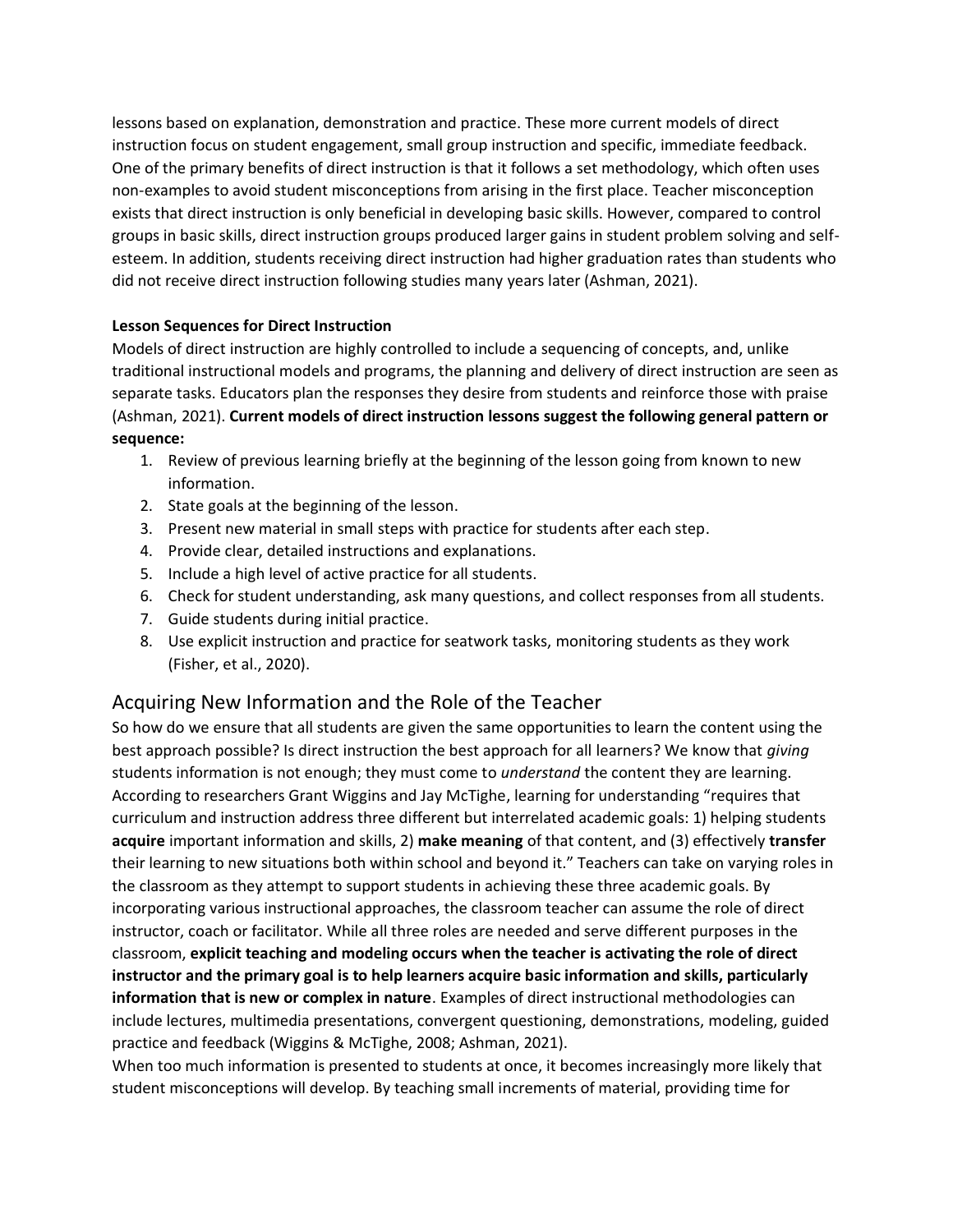lessons based on explanation, demonstration and practice. These more current models of direct instruction focus on student engagement, small group instruction and specific, immediate feedback. One of the primary benefits of direct instruction is that it follows a set methodology, which often uses non-examples to avoid student misconceptions from arising in the first place. Teacher misconception exists that direct instruction is only beneficial in developing basic skills. However, compared to control groups in basic skills, direct instruction groups produced larger gains in student problem solving and selfesteem. In addition, students receiving direct instruction had higher graduation rates than students who did not receive direct instruction following studies many years later (Ashman, 2021).

### **Lesson Sequences for Direct Instruction**

Models of direct instruction are highly controlled to include a sequencing of concepts, and, unlike traditional instructional models and programs, the planning and delivery of direct instruction are seen as separate tasks. Educators plan the responses they desire from students and reinforce those with praise (Ashman, 2021). **Current models of direct instruction lessons suggest the following general pattern or sequence:**

- 1. Review of previous learning briefly at the beginning of the lesson going from known to new information.
- 2. State goals at the beginning of the lesson.
- 3. Present new material in small steps with practice for students after each step.
- 4. Provide clear, detailed instructions and explanations.
- 5. Include a high level of active practice for all students.
- 6. Check for student understanding, ask many questions, and collect responses from all students.
- 7. Guide students during initial practice.
- 8. Use explicit instruction and practice for seatwork tasks, monitoring students as they work (Fisher, et al., 2020).

# Acquiring New Information and the Role of the Teacher

So how do we ensure that all students are given the same opportunities to learn the content using the best approach possible? Is direct instruction the best approach for all learners? We know that *giving*  students information is not enough; they must come to *understand* the content they are learning. According to researchers Grant Wiggins and Jay McTighe, learning for understanding "requires that curriculum and instruction address three different but interrelated academic goals: 1) helping students **acquire** important information and skills, 2) **make meaning** of that content, and (3) effectively **transfer**  their learning to new situations both within school and beyond it." Teachers can take on varying roles in the classroom as they attempt to support students in achieving these three academic goals. By incorporating various instructional approaches, the classroom teacher can assume the role of direct instructor, coach or facilitator. While all three roles are needed and serve different purposes in the classroom, **explicit teaching and modeling occurs when the teacher is activating the role of direct instructor and the primary goal is to help learners acquire basic information and skills, particularly information that is new or complex in nature**. Examples of direct instructional methodologies can include lectures, multimedia presentations, convergent questioning, demonstrations, modeling, guided practice and feedback (Wiggins & McTighe, 2008; Ashman, 2021).

When too much information is presented to students at once, it becomes increasingly more likely that student misconceptions will develop. By teaching small increments of material, providing time for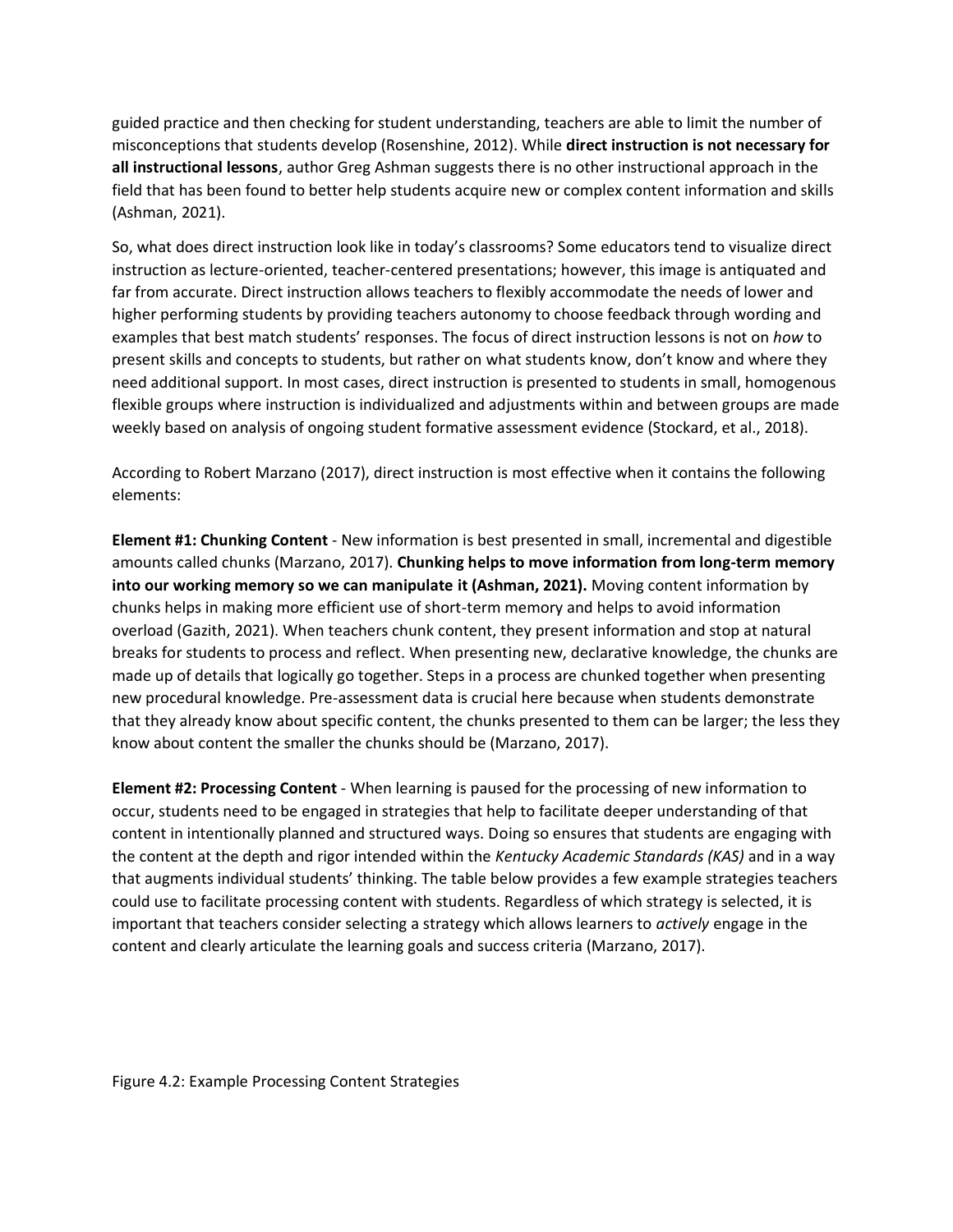guided practice and then checking for student understanding, teachers are able to limit the number of misconceptions that students develop (Rosenshine, 2012). While **direct instruction is not necessary for all instructional lessons**, author Greg Ashman suggests there is no other instructional approach in the field that has been found to better help students acquire new or complex content information and skills (Ashman, 2021).

So, what does direct instruction look like in today's classrooms? Some educators tend to visualize direct instruction as lecture-oriented, teacher-centered presentations; however, this image is antiquated and far from accurate. Direct instruction allows teachers to flexibly accommodate the needs of lower and higher performing students by providing teachers autonomy to choose feedback through wording and examples that best match students' responses. The focus of direct instruction lessons is not on *how* to present skills and concepts to students, but rather on what students know, don't know and where they need additional support. In most cases, direct instruction is presented to students in small, homogenous flexible groups where instruction is individualized and adjustments within and between groups are made weekly based on analysis of ongoing student formative assessment evidence (Stockard, et al., 2018).

According to Robert Marzano (2017), direct instruction is most effective when it contains the following elements:

**Element #1: Chunking Content** - New information is best presented in small, incremental and digestible amounts called chunks (Marzano, 2017). **Chunking helps to move information from long-term memory into our working memory so we can manipulate it (Ashman, 2021).** Moving content information by chunks helps in making more efficient use of short-term memory and helps to avoid information overload (Gazith, 2021). When teachers chunk content, they present information and stop at natural breaks for students to process and reflect. When presenting new, declarative knowledge, the chunks are made up of details that logically go together. Steps in a process are chunked together when presenting new procedural knowledge. Pre-assessment data is crucial here because when students demonstrate that they already know about specific content, the chunks presented to them can be larger; the less they know about content the smaller the chunks should be (Marzano, 2017).

**Element #2: Processing Content** - When learning is paused for the processing of new information to occur, students need to be engaged in strategies that help to facilitate deeper understanding of that content in intentionally planned and structured ways. Doing so ensures that students are engaging with the content at the depth and rigor intended within the *Kentucky Academic Standards (KAS)* and in a way that augments individual students' thinking. The table below provides a few example strategies teachers could use to facilitate processing content with students. Regardless of which strategy is selected, it is important that teachers consider selecting a strategy which allows learners to *actively* engage in the content and clearly articulate the learning goals and success criteria (Marzano, 2017).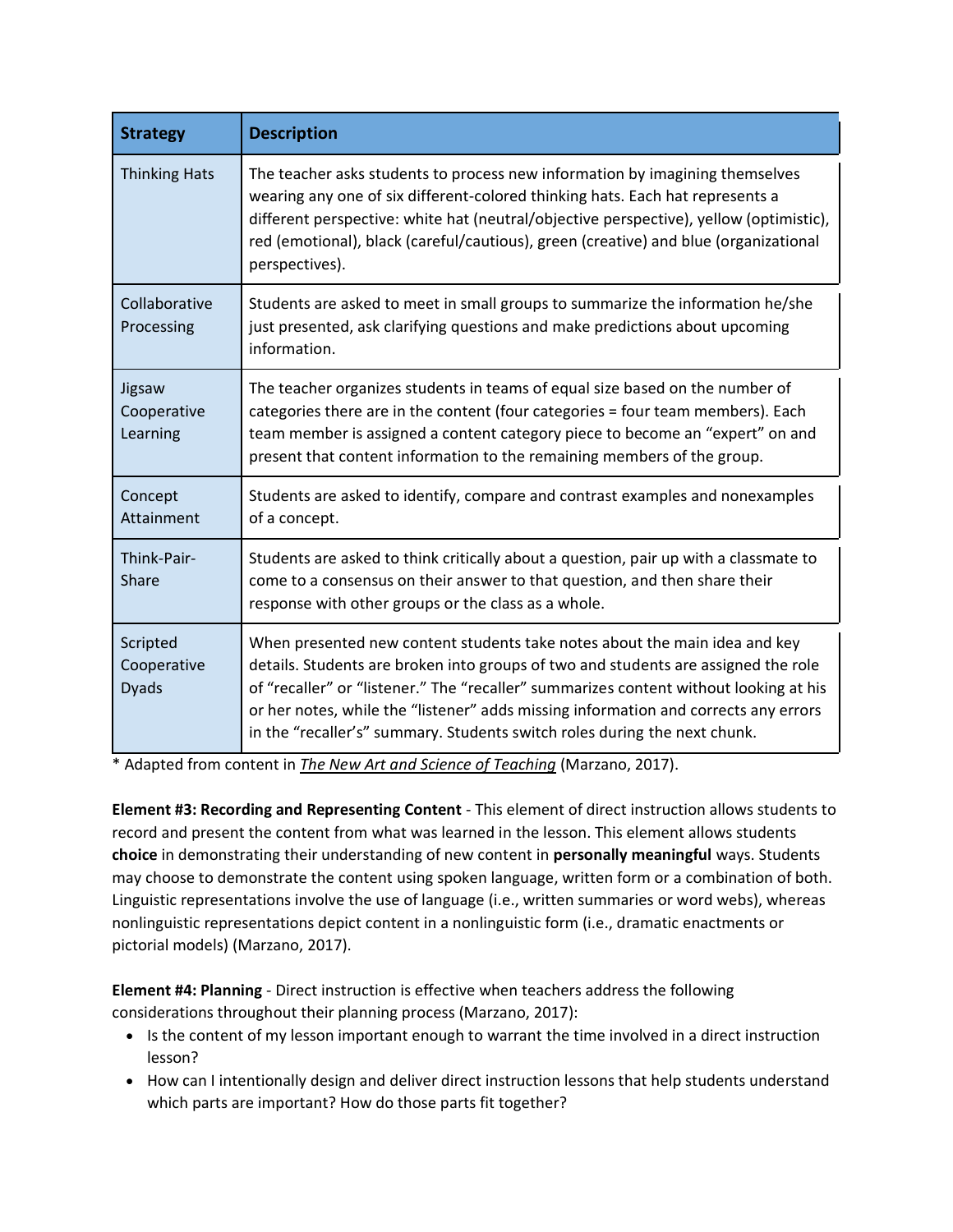| <b>Strategy</b>                         | <b>Description</b>                                                                                                                                                                                                                                                                                                                                                                                                            |
|-----------------------------------------|-------------------------------------------------------------------------------------------------------------------------------------------------------------------------------------------------------------------------------------------------------------------------------------------------------------------------------------------------------------------------------------------------------------------------------|
| <b>Thinking Hats</b>                    | The teacher asks students to process new information by imagining themselves<br>wearing any one of six different-colored thinking hats. Each hat represents a<br>different perspective: white hat (neutral/objective perspective), yellow (optimistic),<br>red (emotional), black (careful/cautious), green (creative) and blue (organizational<br>perspectives).                                                             |
| Collaborative<br>Processing             | Students are asked to meet in small groups to summarize the information he/she<br>just presented, ask clarifying questions and make predictions about upcoming<br>information.                                                                                                                                                                                                                                                |
| Jigsaw<br>Cooperative<br>Learning       | The teacher organizes students in teams of equal size based on the number of<br>categories there are in the content (four categories = four team members). Each<br>team member is assigned a content category piece to become an "expert" on and<br>present that content information to the remaining members of the group.                                                                                                   |
| Concept<br>Attainment                   | Students are asked to identify, compare and contrast examples and nonexamples<br>of a concept.                                                                                                                                                                                                                                                                                                                                |
| Think-Pair-<br>Share                    | Students are asked to think critically about a question, pair up with a classmate to<br>come to a consensus on their answer to that question, and then share their<br>response with other groups or the class as a whole.                                                                                                                                                                                                     |
| Scripted<br>Cooperative<br><b>Dyads</b> | When presented new content students take notes about the main idea and key<br>details. Students are broken into groups of two and students are assigned the role<br>of "recaller" or "listener." The "recaller" summarizes content without looking at his<br>or her notes, while the "listener" adds missing information and corrects any errors<br>in the "recaller's" summary. Students switch roles during the next chunk. |

\* Adapted from content in *The New Art and Science of Teaching* (Marzano, 2017).

**Element #3: Recording and Representing Content** - This element of direct instruction allows students to record and present the content from what was learned in the lesson. This element allows students **choice** in demonstrating their understanding of new content in **personally meaningful** ways. Students may choose to demonstrate the content using spoken language, written form or a combination of both. Linguistic representations involve the use of language (i.e., written summaries or word webs), whereas nonlinguistic representations depict content in a nonlinguistic form (i.e., dramatic enactments or pictorial models) (Marzano, 2017).

**Element #4: Planning** - Direct instruction is effective when teachers address the following considerations throughout their planning process (Marzano, 2017):

- Is the content of my lesson important enough to warrant the time involved in a direct instruction lesson?
- How can I intentionally design and deliver direct instruction lessons that help students understand which parts are important? How do those parts fit together?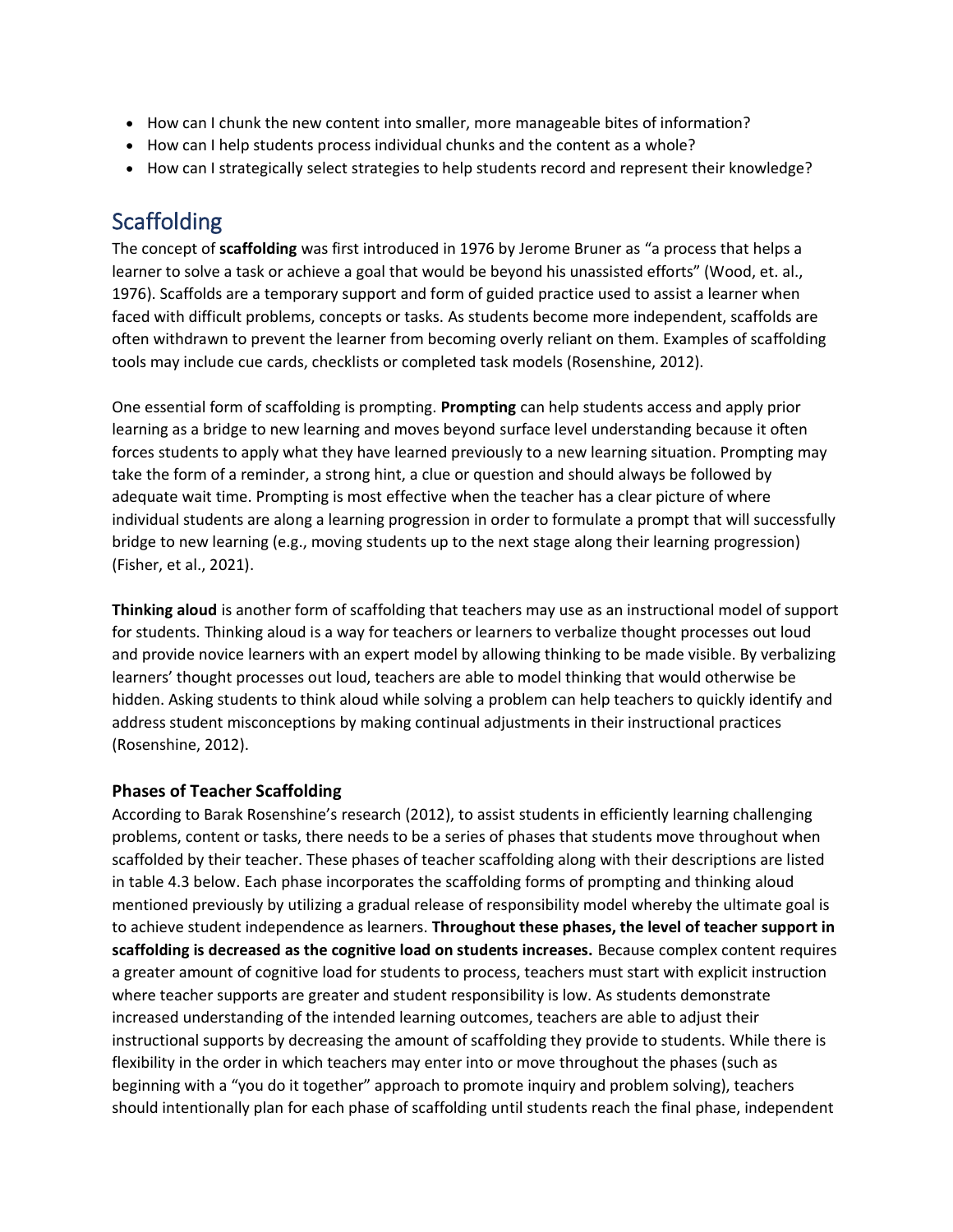- How can I chunk the new content into smaller, more manageable bites of information?
- How can I help students process individual chunks and the content as a whole?
- How can I strategically select strategies to help students record and represent their knowledge?

# Scaffolding

The concept of **scaffolding** was first introduced in 1976 by Jerome Bruner as "a process that helps a learner to solve a task or achieve a goal that would be beyond his unassisted efforts" (Wood, et. al., 1976). Scaffolds are a temporary support and form of guided practice used to assist a learner when faced with difficult problems, concepts or tasks. As students become more independent, scaffolds are often withdrawn to prevent the learner from becoming overly reliant on them. Examples of scaffolding tools may include cue cards, checklists or completed task models (Rosenshine, 2012).

One essential form of scaffolding is prompting. **Prompting** can help students access and apply prior learning as a bridge to new learning and moves beyond surface level understanding because it often forces students to apply what they have learned previously to a new learning situation. Prompting may take the form of a reminder, a strong hint, a clue or question and should always be followed by adequate wait time. Prompting is most effective when the teacher has a clear picture of where individual students are along a learning progression in order to formulate a prompt that will successfully bridge to new learning (e.g., moving students up to the next stage along their learning progression) (Fisher, et al., 2021).

**Thinking aloud** is another form of scaffolding that teachers may use as an instructional model of support for students. Thinking aloud is a way for teachers or learners to verbalize thought processes out loud and provide novice learners with an expert model by allowing thinking to be made visible. By verbalizing learners' thought processes out loud, teachers are able to model thinking that would otherwise be hidden. Asking students to think aloud while solving a problem can help teachers to quickly identify and address student misconceptions by making continual adjustments in their instructional practices (Rosenshine, 2012).

## **Phases of Teacher Scaffolding**

According to Barak Rosenshine's research (2012), to assist students in efficiently learning challenging problems, content or tasks, there needs to be a series of phases that students move throughout when scaffolded by their teacher. These phases of teacher scaffolding along with their descriptions are listed in table 4.3 below. Each phase incorporates the scaffolding forms of prompting and thinking aloud mentioned previously by utilizing a gradual release of responsibility model whereby the ultimate goal is to achieve student independence as learners. **Throughout these phases, the level of teacher support in scaffolding is decreased as the cognitive load on students increases.** Because complex content requires a greater amount of cognitive load for students to process, teachers must start with explicit instruction where teacher supports are greater and student responsibility is low. As students demonstrate increased understanding of the intended learning outcomes, teachers are able to adjust their instructional supports by decreasing the amount of scaffolding they provide to students. While there is flexibility in the order in which teachers may enter into or move throughout the phases (such as beginning with a "you do it together" approach to promote inquiry and problem solving), teachers should intentionally plan for each phase of scaffolding until students reach the final phase, independent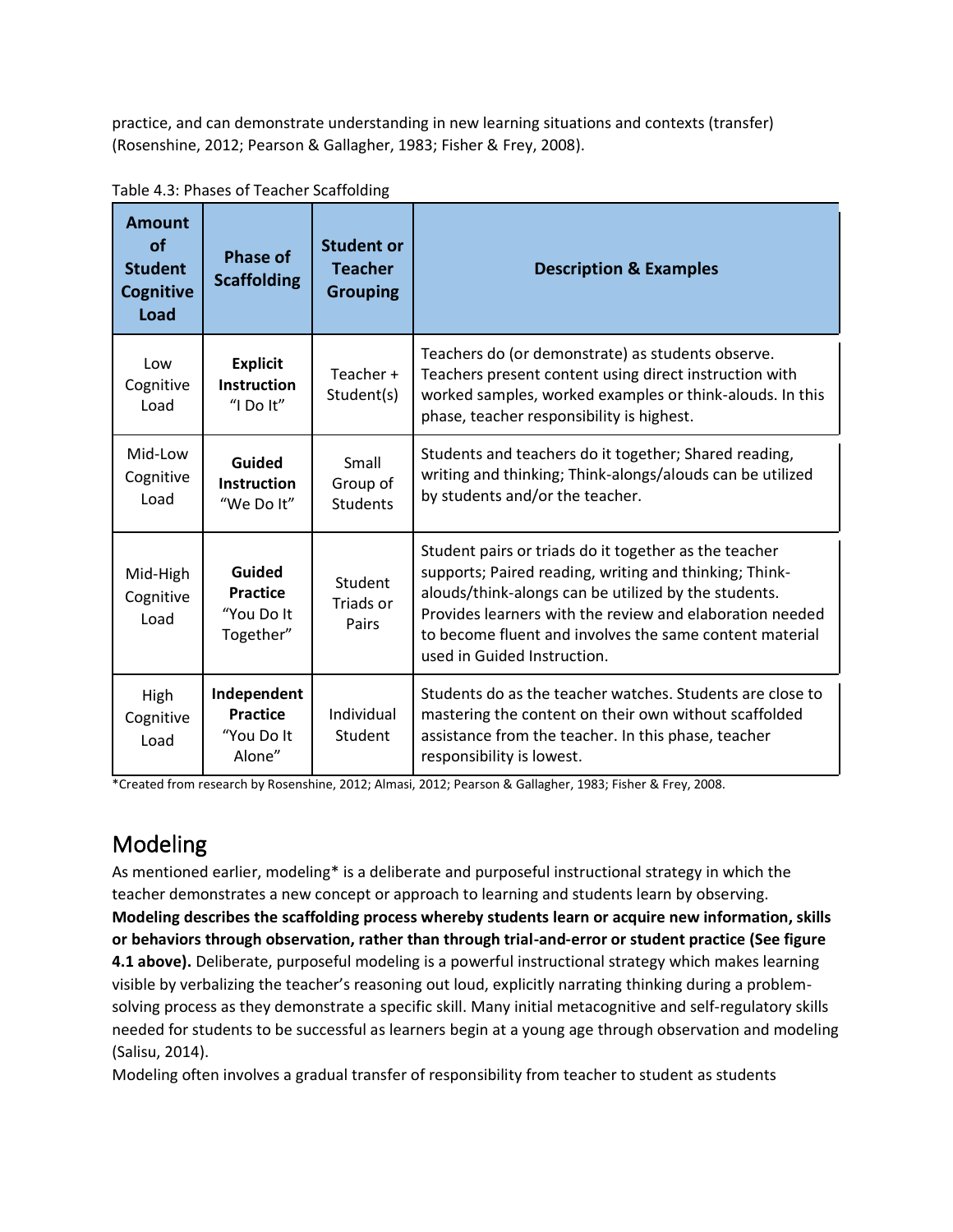practice, and can demonstrate understanding in new learning situations and contexts (transfer) (Rosenshine, 2012; Pearson & Gallagher, 1983; Fisher & Frey, 2008).

| <b>Amount</b><br>of<br><b>Student</b><br><b>Cognitive</b><br>Load | <b>Phase of</b><br><b>Scaffolding</b>                  | <b>Student or</b><br><b>Teacher</b><br><b>Grouping</b> | <b>Description &amp; Examples</b>                                                                                                                                                                                                                                                                                             |
|-------------------------------------------------------------------|--------------------------------------------------------|--------------------------------------------------------|-------------------------------------------------------------------------------------------------------------------------------------------------------------------------------------------------------------------------------------------------------------------------------------------------------------------------------|
| Low<br>Cognitive<br>Load                                          | <b>Explicit</b><br><b>Instruction</b><br>"I Do It"     | Teacher +<br>Student(s)                                | Teachers do (or demonstrate) as students observe.<br>Teachers present content using direct instruction with<br>worked samples, worked examples or think-alouds. In this<br>phase, teacher responsibility is highest.                                                                                                          |
| Mid-Low<br>Cognitive<br>Load                                      | Guided<br><b>Instruction</b><br>"We Do It"             | Small<br>Group of<br><b>Students</b>                   | Students and teachers do it together; Shared reading,<br>writing and thinking; Think-alongs/alouds can be utilized<br>by students and/or the teacher.                                                                                                                                                                         |
| Mid-High<br>Cognitive<br>Load                                     | Guided<br><b>Practice</b><br>"You Do It<br>Together"   | Student<br>Triads or<br>Pairs                          | Student pairs or triads do it together as the teacher<br>supports; Paired reading, writing and thinking; Think-<br>alouds/think-alongs can be utilized by the students.<br>Provides learners with the review and elaboration needed<br>to become fluent and involves the same content material<br>used in Guided Instruction. |
| High<br>Cognitive<br>Load                                         | Independent<br><b>Practice</b><br>"You Do It<br>Alone" | Individual<br>Student                                  | Students do as the teacher watches. Students are close to<br>mastering the content on their own without scaffolded<br>assistance from the teacher. In this phase, teacher<br>responsibility is lowest.                                                                                                                        |

Table 4.3: Phases of Teacher Scaffolding

\*Created from research by Rosenshine, 2012; Almasi, 2012; Pearson & Gallagher, 1983; Fisher & Frey, 2008.

# Modeling

As mentioned earlier, modeling\* is a deliberate and purposeful instructional strategy in which the teacher demonstrates a new concept or approach to learning and students learn by observing. **Modeling describes the scaffolding process whereby students learn or acquire new information, skills or behaviors through observation, rather than through trial-and-error or student practice (See figure 4.1 above).** Deliberate, purposeful modeling is a powerful instructional strategy which makes learning visible by verbalizing the teacher's reasoning out loud, explicitly narrating thinking during a problemsolving process as they demonstrate a specific skill. Many initial metacognitive and self-regulatory skills needed for students to be successful as learners begin at a young age through observation and modeling (Salisu, 2014).

Modeling often involves a gradual transfer of responsibility from teacher to student as students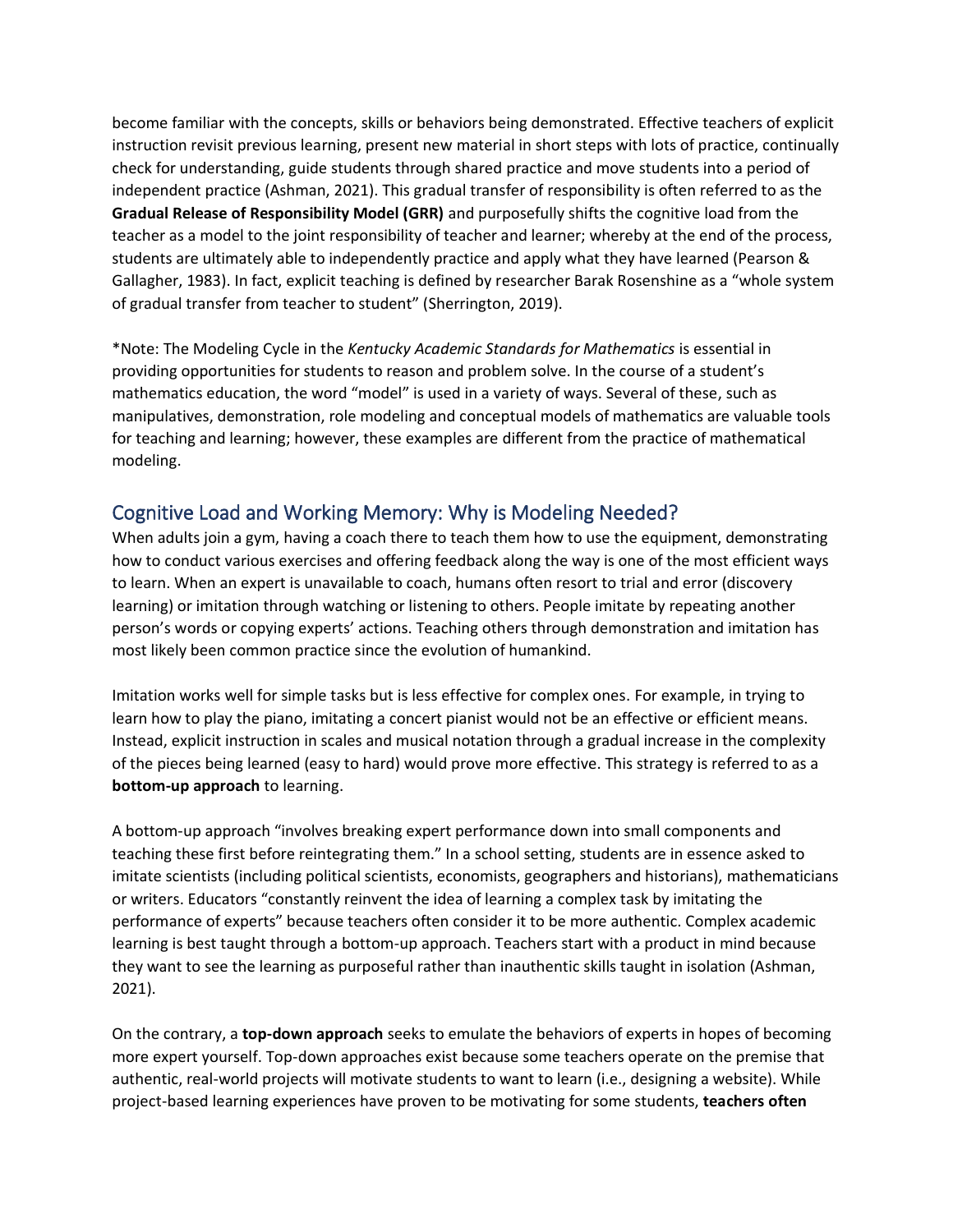become familiar with the concepts, skills or behaviors being demonstrated. Effective teachers of explicit instruction revisit previous learning, present new material in short steps with lots of practice, continually check for understanding, guide students through shared practice and move students into a period of independent practice (Ashman, 2021). This gradual transfer of responsibility is often referred to as the **Gradual Release of Responsibility Model (GRR)** and purposefully shifts the cognitive load from the teacher as a model to the joint responsibility of teacher and learner; whereby at the end of the process, students are ultimately able to independently practice and apply what they have learned (Pearson & Gallagher, 1983). In fact, explicit teaching is defined by researcher Barak Rosenshine as a "whole system of gradual transfer from teacher to student" (Sherrington, 2019).

\*Note: The Modeling Cycle in the *Kentucky Academic Standards for Mathematics* is essential in providing opportunities for students to reason and problem solve. In the course of a student's mathematics education, the word "model" is used in a variety of ways. Several of these, such as manipulatives, demonstration, role modeling and conceptual models of mathematics are valuable tools for teaching and learning; however, these examples are different from the practice of mathematical modeling.

# Cognitive Load and Working Memory: Why is Modeling Needed?

When adults join a gym, having a coach there to teach them how to use the equipment, demonstrating how to conduct various exercises and offering feedback along the way is one of the most efficient ways to learn. When an expert is unavailable to coach, humans often resort to trial and error (discovery learning) or imitation through watching or listening to others. People imitate by repeating another person's words or copying experts' actions. Teaching others through demonstration and imitation has most likely been common practice since the evolution of humankind.

Imitation works well for simple tasks but is less effective for complex ones. For example, in trying to learn how to play the piano, imitating a concert pianist would not be an effective or efficient means. Instead, explicit instruction in scales and musical notation through a gradual increase in the complexity of the pieces being learned (easy to hard) would prove more effective. This strategy is referred to as a **bottom-up approach** to learning.

A bottom-up approach "involves breaking expert performance down into small components and teaching these first before reintegrating them." In a school setting, students are in essence asked to imitate scientists (including political scientists, economists, geographers and historians), mathematicians or writers. Educators "constantly reinvent the idea of learning a complex task by imitating the performance of experts" because teachers often consider it to be more authentic. Complex academic learning is best taught through a bottom-up approach. Teachers start with a product in mind because they want to see the learning as purposeful rather than inauthentic skills taught in isolation (Ashman, 2021).

On the contrary, a **top-down approach** seeks to emulate the behaviors of experts in hopes of becoming more expert yourself. Top-down approaches exist because some teachers operate on the premise that authentic, real-world projects will motivate students to want to learn (i.e., designing a website). While project-based learning experiences have proven to be motivating for some students, **teachers often**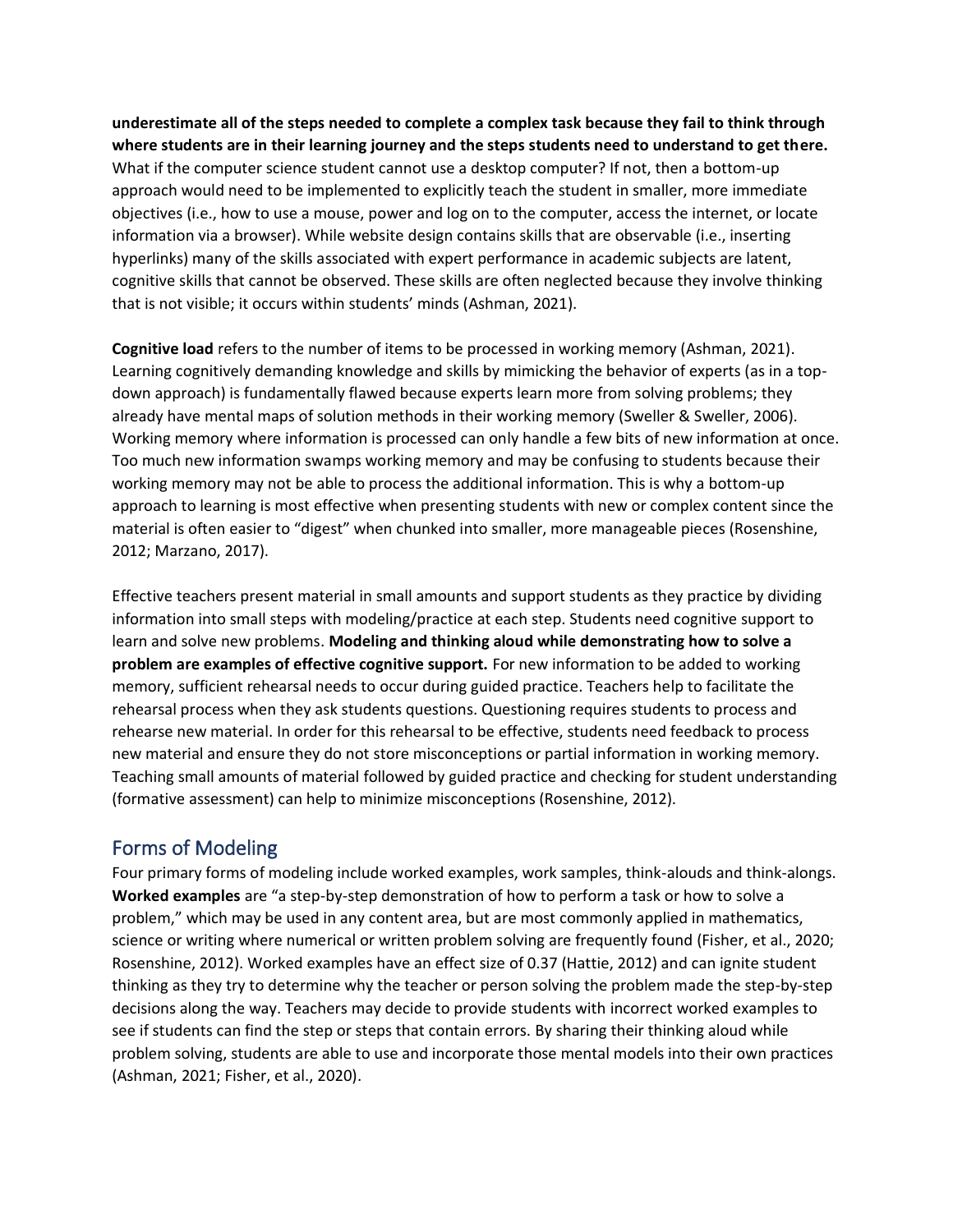**underestimate all of the steps needed to complete a complex task because they fail to think through where students are in their learning journey and the steps students need to understand to get there.** What if the computer science student cannot use a desktop computer? If not, then a bottom-up approach would need to be implemented to explicitly teach the student in smaller, more immediate objectives (i.e., how to use a mouse, power and log on to the computer, access the internet, or locate information via a browser). While website design contains skills that are observable (i.e., inserting hyperlinks) many of the skills associated with expert performance in academic subjects are latent, cognitive skills that cannot be observed. These skills are often neglected because they involve thinking that is not visible; it occurs within students' minds (Ashman, 2021).

**Cognitive load** refers to the number of items to be processed in working memory (Ashman, 2021). Learning cognitively demanding knowledge and skills by mimicking the behavior of experts (as in a topdown approach) is fundamentally flawed because experts learn more from solving problems; they already have mental maps of solution methods in their working memory (Sweller & Sweller, 2006). Working memory where information is processed can only handle a few bits of new information at once. Too much new information swamps working memory and may be confusing to students because their working memory may not be able to process the additional information. This is why a bottom-up approach to learning is most effective when presenting students with new or complex content since the material is often easier to "digest" when chunked into smaller, more manageable pieces (Rosenshine, 2012; Marzano, 2017).

Effective teachers present material in small amounts and support students as they practice by dividing information into small steps with modeling/practice at each step. Students need cognitive support to learn and solve new problems. **Modeling and thinking aloud while demonstrating how to solve a problem are examples of effective cognitive support.** For new information to be added to working memory, sufficient rehearsal needs to occur during guided practice. Teachers help to facilitate the rehearsal process when they ask students questions. Questioning requires students to process and rehearse new material. In order for this rehearsal to be effective, students need feedback to process new material and ensure they do not store misconceptions or partial information in working memory. Teaching small amounts of material followed by guided practice and checking for student understanding (formative assessment) can help to minimize misconceptions (Rosenshine, 2012).

## Forms of Modeling

Four primary forms of modeling include worked examples, work samples, think-alouds and think-alongs. **Worked examples** are "a step-by-step demonstration of how to perform a task or how to solve a problem," which may be used in any content area, but are most commonly applied in mathematics, science or writing where numerical or written problem solving are frequently found (Fisher, et al., 2020; Rosenshine, 2012). Worked examples have an effect size of 0.37 (Hattie, 2012) and can ignite student thinking as they try to determine why the teacher or person solving the problem made the step-by-step decisions along the way. Teachers may decide to provide students with incorrect worked examples to see if students can find the step or steps that contain errors. By sharing their thinking aloud while problem solving, students are able to use and incorporate those mental models into their own practices (Ashman, 2021; Fisher, et al., 2020).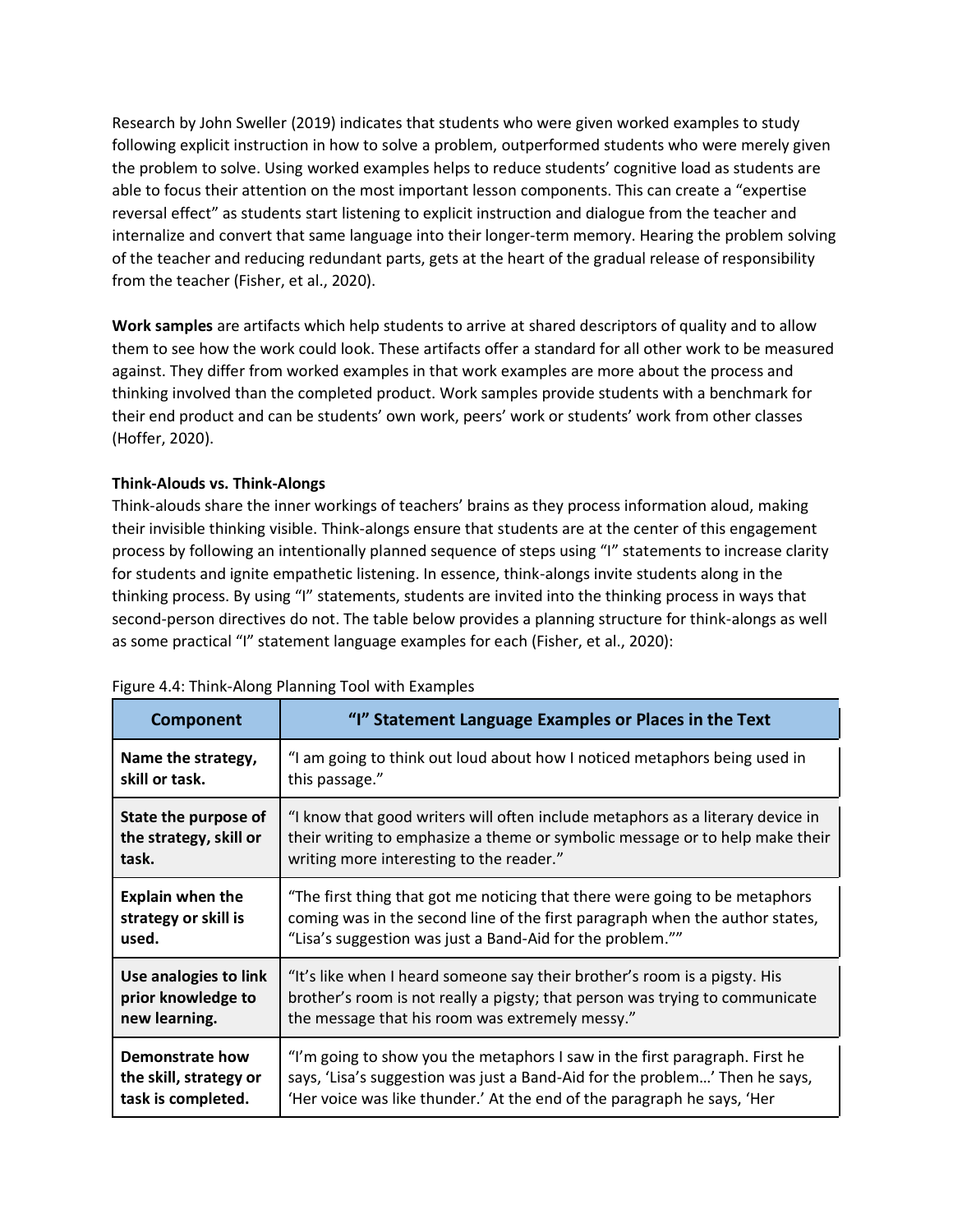Research by John Sweller (2019) indicates that students who were given worked examples to study following explicit instruction in how to solve a problem, outperformed students who were merely given the problem to solve. Using worked examples helps to reduce students' cognitive load as students are able to focus their attention on the most important lesson components. This can create a "expertise reversal effect" as students start listening to explicit instruction and dialogue from the teacher and internalize and convert that same language into their longer-term memory. Hearing the problem solving of the teacher and reducing redundant parts, gets at the heart of the gradual release of responsibility from the teacher (Fisher, et al., 2020).

**Work samples** are artifacts which help students to arrive at shared descriptors of quality and to allow them to see how the work could look. These artifacts offer a standard for all other work to be measured against. They differ from worked examples in that work examples are more about the process and thinking involved than the completed product. Work samples provide students with a benchmark for their end product and can be students' own work, peers' work or students' work from other classes (Hoffer, 2020).

#### **Think-Alouds vs. Think-Alongs**

Think-alouds share the inner workings of teachers' brains as they process information aloud, making their invisible thinking visible. Think-alongs ensure that students are at the center of this engagement process by following an intentionally planned sequence of steps using "I" statements to increase clarity for students and ignite empathetic listening. In essence, think-alongs invite students along in the thinking process. By using "I" statements, students are invited into the thinking process in ways that second-person directives do not. The table below provides a planning structure for think-alongs as well as some practical "I" statement language examples for each (Fisher, et al., 2020):

| Component               | "I" Statement Language Examples or Places in the Text                          |
|-------------------------|--------------------------------------------------------------------------------|
| Name the strategy,      | "I am going to think out loud about how I noticed metaphors being used in      |
| skill or task.          | this passage."                                                                 |
| State the purpose of    | "I know that good writers will often include metaphors as a literary device in |
| the strategy, skill or  | their writing to emphasize a theme or symbolic message or to help make their   |
| task.                   | writing more interesting to the reader."                                       |
| <b>Explain when the</b> | "The first thing that got me noticing that there were going to be metaphors    |
| strategy or skill is    | coming was in the second line of the first paragraph when the author states,   |
| used.                   | "Lisa's suggestion was just a Band-Aid for the problem.""                      |
| Use analogies to link   | "It's like when I heard someone say their brother's room is a pigsty. His      |
| prior knowledge to      | brother's room is not really a pigsty; that person was trying to communicate   |
| new learning.           | the message that his room was extremely messy."                                |
| Demonstrate how         | "I'm going to show you the metaphors I saw in the first paragraph. First he    |
| the skill, strategy or  | says, 'Lisa's suggestion was just a Band-Aid for the problem' Then he says,    |
| task is completed.      | 'Her voice was like thunder.' At the end of the paragraph he says, 'Her        |

#### Figure 4.4: Think-Along Planning Tool with Examples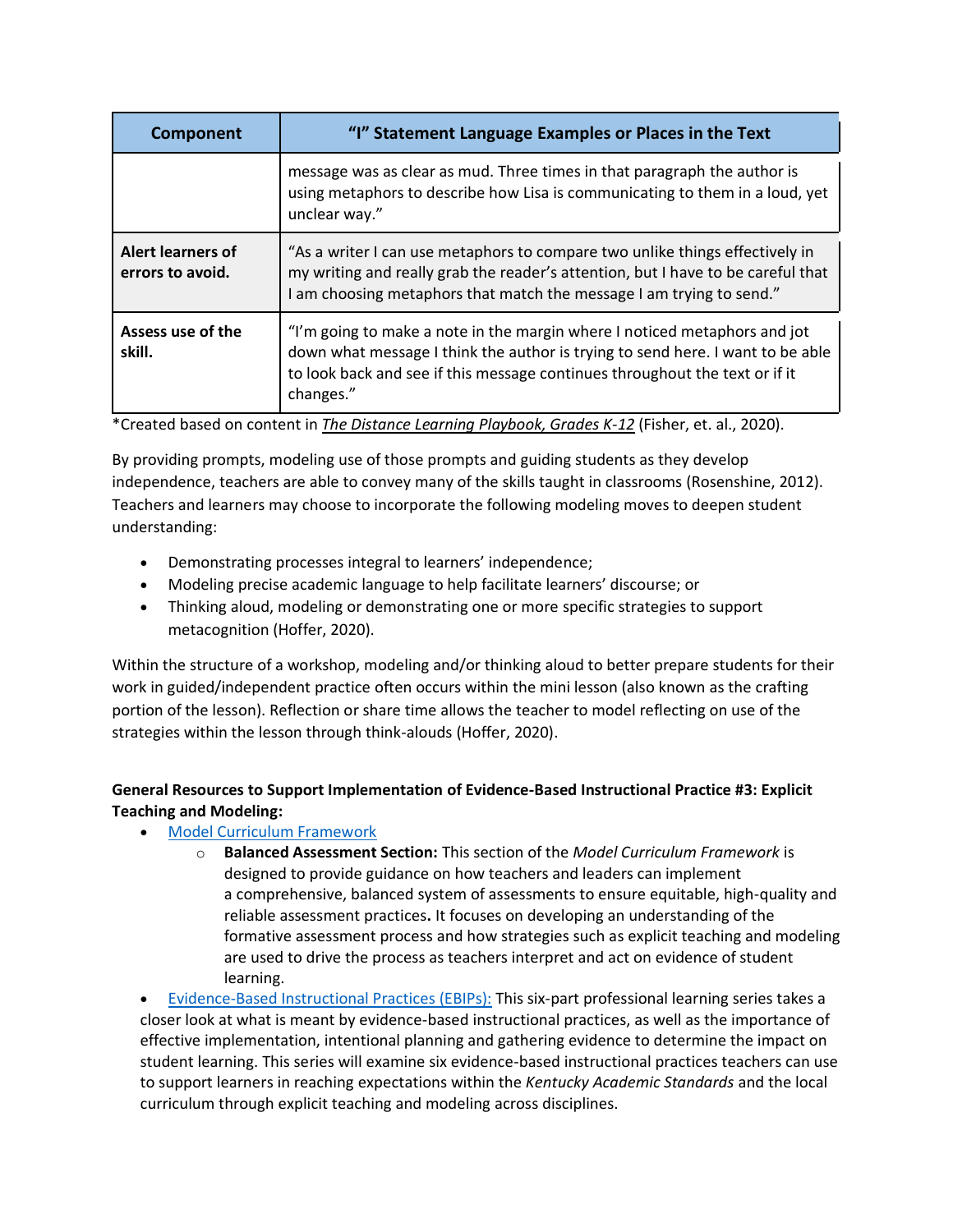| Component                             | "I" Statement Language Examples or Places in the Text                                                                                                                                                                                                   |
|---------------------------------------|---------------------------------------------------------------------------------------------------------------------------------------------------------------------------------------------------------------------------------------------------------|
|                                       | message was as clear as mud. Three times in that paragraph the author is<br>using metaphors to describe how Lisa is communicating to them in a loud, yet<br>unclear way."                                                                               |
| Alert learners of<br>errors to avoid. | "As a writer I can use metaphors to compare two unlike things effectively in<br>my writing and really grab the reader's attention, but I have to be careful that<br>I am choosing metaphors that match the message I am trying to send."                |
| Assess use of the<br>skill.           | "I'm going to make a note in the margin where I noticed metaphors and jot<br>down what message I think the author is trying to send here. I want to be able<br>to look back and see if this message continues throughout the text or if it<br>changes." |

\*Created based on content in *The Distance Learning Playbook, Grades K-12* (Fisher, et. al., 2020).

By providing prompts, modeling use of those prompts and guiding students as they develop independence, teachers are able to convey many of the skills taught in classrooms (Rosenshine, 2012). Teachers and learners may choose to incorporate the following modeling moves to deepen student understanding:

- Demonstrating processes integral to learners' independence;
- Modeling precise academic language to help facilitate learners' discourse; or
- Thinking aloud, modeling or demonstrating one or more specific strategies to support metacognition (Hoffer, 2020).

Within the structure of a workshop, modeling and/or thinking aloud to better prepare students for their work in guided/independent practice often occurs within the mini lesson (also known as the crafting portion of the lesson). Reflection or share time allows the teacher to model reflecting on use of the strategies within the lesson through think-alouds (Hoffer, 2020).

### **General Resources to Support Implementation of Evidence-Based Instructional Practice #3: Explicit Teaching and Modeling:**

### • [Model Curriculum Framework](https://education.ky.gov/curriculum/standards/kyacadstand/Documents/Model_Curriculum_Framework.pdf)

o **Balanced Assessment Section:** This section of the *Model Curriculum Framework* is designed to provide guidance on how teachers and leaders can implement a comprehensive, balanced system of assessments to ensure equitable, high-quality and reliable assessment practices**.** It focuses on developing an understanding of the formative assessment process and how strategies such as explicit teaching and modeling are used to drive the process as teachers interpret and act on evidence of student learning.

• [Evidence-Based Instructional Practices \(EBIPs\):](https://kystandards.org/standards-resources/pl-mods/evidence-based-instructional-practices-ebips/) This six-part professional learning series takes a closer look at what is meant by evidence-based instructional practices, as well as the importance of effective implementation, intentional planning and gathering evidence to determine the impact on student learning. This series will examine six evidence-based instructional practices teachers can use to support learners in reaching expectations within the *Kentucky Academic Standards* and the local curriculum through explicit teaching and modeling across disciplines.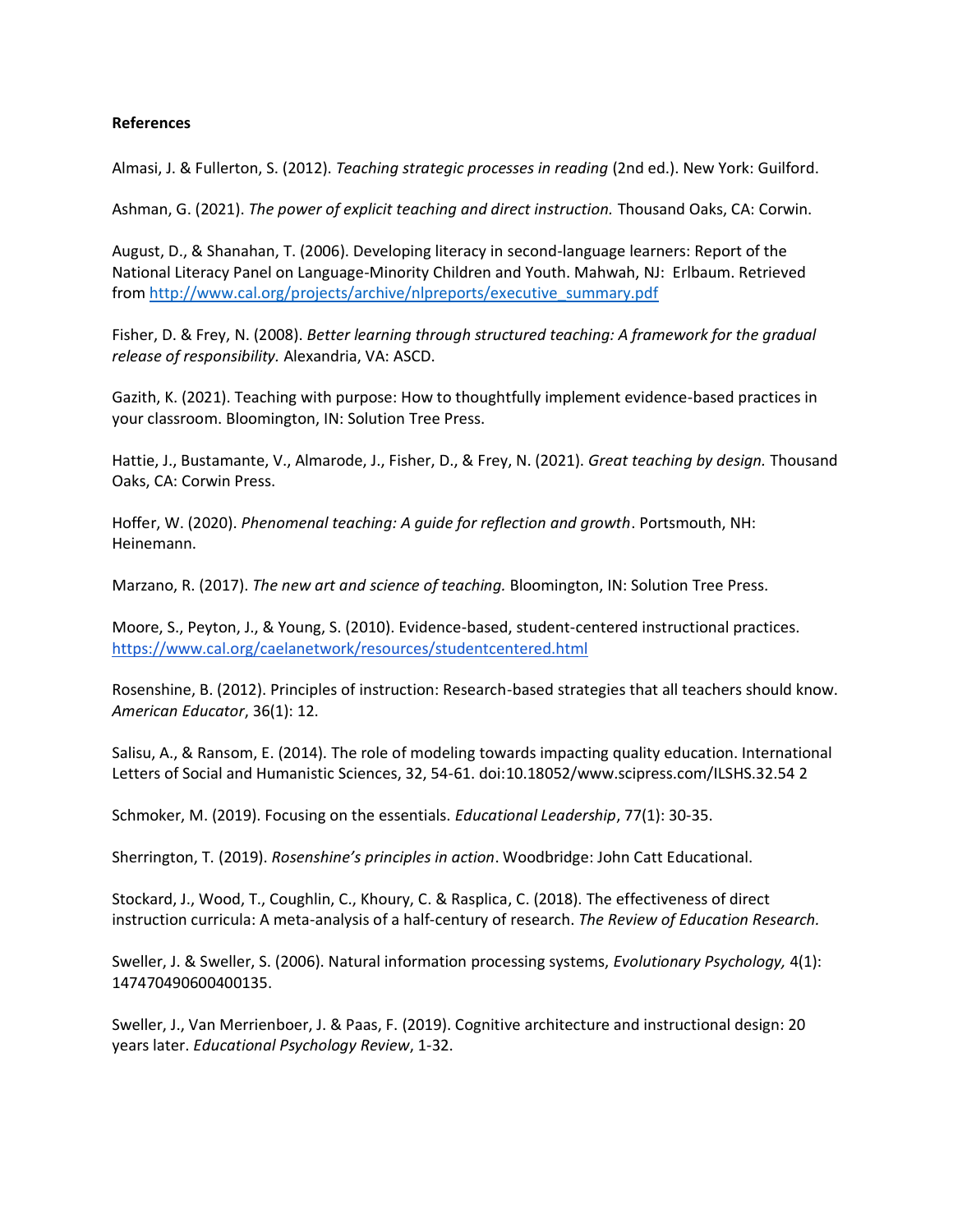#### **References**

Almasi, J. & Fullerton, S. (2012). *Teaching strategic processes in reading* (2nd ed.). New York: Guilford.

Ashman, G. (2021). *The power of explicit teaching and direct instruction.* Thousand Oaks, CA: Corwin.

August, D., & Shanahan, T. (2006). Developing literacy in second-language learners: Report of the National Literacy Panel on Language-Minority Children and Youth. Mahwah, NJ: Erlbaum. Retrieved from [http://www.cal.org/projects/archive/nlpreports/executive\\_summary.pdf](http://www.cal.org/projects/archive/nlpreports/executive_summary.pdf)

Fisher, D. & Frey, N. (2008). *Better learning through structured teaching: A framework for the gradual release of responsibility.* Alexandria, VA: ASCD.

Gazith, K. (2021). Teaching with purpose: How to thoughtfully implement evidence-based practices in your classroom. Bloomington, IN: Solution Tree Press.

Hattie, J., Bustamante, V., Almarode, J., Fisher, D., & Frey, N. (2021). *Great teaching by design.* Thousand Oaks, CA: Corwin Press.

Hoffer, W. (2020). *Phenomenal teaching: A guide for reflection and growth*. Portsmouth, NH: Heinemann.

Marzano, R. (2017). *The new art and science of teaching.* Bloomington, IN: Solution Tree Press.

Moore, S., Peyton, J., & Young, S. (2010). Evidence-based, student-centered instructional practices. <https://www.cal.org/caelanetwork/resources/studentcentered.html>

Rosenshine, B. (2012). Principles of instruction: Research-based strategies that all teachers should know. *American Educator*, 36(1): 12.

Salisu, A., & Ransom, E. (2014). The role of modeling towards impacting quality education. International Letters of Social and Humanistic Sciences, 32, 54-61. doi:10.18052/www.scipress.com/ILSHS.32.54 2

Schmoker, M. (2019). Focusing on the essentials. *Educational Leadership*, 77(1): 30-35.

Sherrington, T. (2019). *Rosenshine's principles in action*. Woodbridge: John Catt Educational.

Stockard, J., Wood, T., Coughlin, C., Khoury, C. & Rasplica, C. (2018). The effectiveness of direct instruction curricula: A meta-analysis of a half-century of research. *The Review of Education Research.*

Sweller, J. & Sweller, S. (2006). Natural information processing systems, *Evolutionary Psychology,* 4(1): 147470490600400135.

Sweller, J., Van Merrienboer, J. & Paas, F. (2019). Cognitive architecture and instructional design: 20 years later. *Educational Psychology Review*, 1-32.